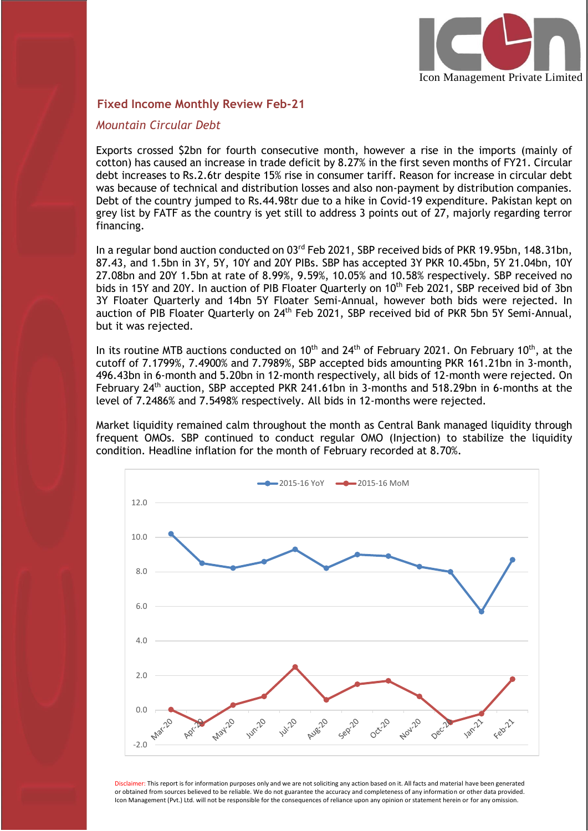

#### **Fixed Income Monthly Review Feb-21**

#### *Mountain Circular Debt*

I

Exports crossed \$2bn for fourth consecutive month, however a rise in the imports (mainly of cotton) has caused an increase in trade deficit by 8.27% in the first seven months of FY21. Circular debt increases to Rs.2.6tr despite 15% rise in consumer tariff. Reason for increase in circular debt was because of technical and distribution losses and also non-payment by distribution companies. Debt of the country jumped to Rs.44.98tr due to a hike in Covid-19 expenditure. Pakistan kept on grey list by FATF as the country is yet still to address 3 points out of 27, majorly regarding terror financing.

In a regular bond auction conducted on 03<sup>rd</sup> Feb 2021, SBP received bids of PKR 19.95bn, 148.31bn, 87.43, and 1.5bn in 3Y, 5Y, 10Y and 20Y PIBs. SBP has accepted 3Y PKR 10.45bn, 5Y 21.04bn, 10Y 27.08bn and 20Y 1.5bn at rate of 8.99%, 9.59%, 10.05% and 10.58% respectively. SBP received no bids in 15Y and 20Y. In auction of PIB Floater Quarterly on 10<sup>th</sup> Feb 2021, SBP received bid of 3bn 3Y Floater Quarterly and 14bn 5Y Floater Semi-Annual, however both bids were rejected. In auction of PIB Floater Quarterly on 24<sup>th</sup> Feb 2021, SBP received bid of PKR 5bn 5Y Semi-Annual, but it was rejected.

In its routine MTB auctions conducted on 10<sup>th</sup> and 24<sup>th</sup> of February 2021. On February 10<sup>th</sup>, at the cutoff of 7.1799%, 7.4900% and 7.7989%, SBP accepted bids amounting PKR 161.21bn in 3-month, 496.43bn in 6-month and 5.20bn in 12-month respectively, all bids of 12-month were rejected. On February 24<sup>th</sup> auction, SBP accepted PKR 241.61bn in 3-months and 518.29bn in 6-months at the level of 7.2486% and 7.5498% respectively. All bids in 12-months were rejected.

Market liquidity remained calm throughout the month as Central Bank managed liquidity through frequent OMOs. SBP continued to conduct regular OMO (Injection) to stabilize the liquidity condition. Headline inflation for the month of February recorded at 8.70%.



Disclaimer: This report is for information purposes only and we are not soliciting any action based on it. All facts and material have been generated or obtained from sources believed to be reliable. We do not guarantee the accuracy and completeness of any information or other data provided. Icon Management (Pvt.) Ltd. will not be responsible for the consequences of reliance upon any opinion or statement herein or for any omission.